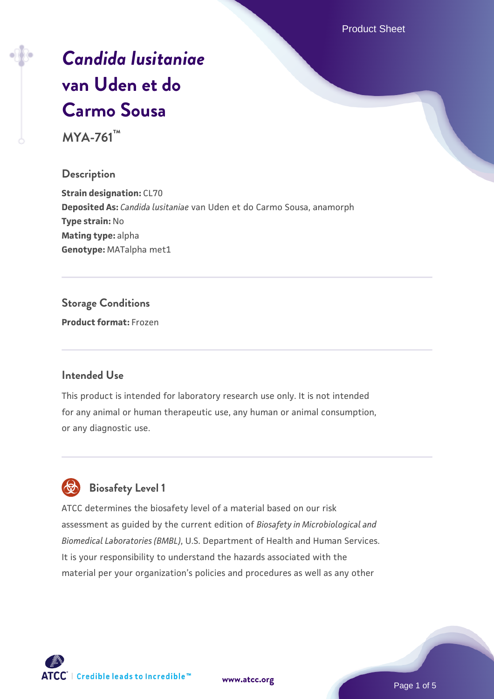Product Sheet

# *[Candida lusitaniae](https://www.atcc.org/products/mya-761)* **[van Uden et do](https://www.atcc.org/products/mya-761) [Carmo Sousa](https://www.atcc.org/products/mya-761)**

**MYA-761™**

#### **Description**

**Strain designation: CL70 Deposited As:** *Candida lusitaniae* van Uden et do Carmo Sousa, anamorph **Type strain:** No **Mating type:** alpha **Genotype:** MATalpha met1

#### **Storage Conditions**

**Product format:** Frozen

#### **Intended Use**

This product is intended for laboratory research use only. It is not intended for any animal or human therapeutic use, any human or animal consumption, or any diagnostic use.



#### **Biosafety Level 1**

ATCC determines the biosafety level of a material based on our risk assessment as guided by the current edition of *Biosafety in Microbiological and Biomedical Laboratories (BMBL)*, U.S. Department of Health and Human Services. It is your responsibility to understand the hazards associated with the material per your organization's policies and procedures as well as any other

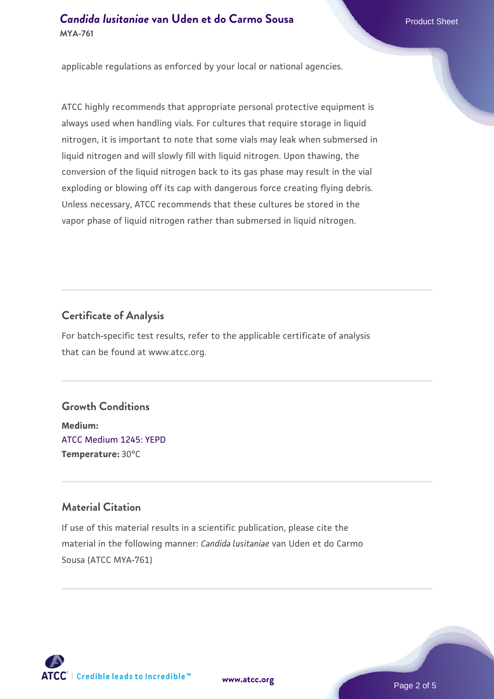#### **Candida Iusitaniae [van Uden et do Carmo Sousa](https://www.atcc.org/products/mya-761)** Product Sheet **MYA-761**

applicable regulations as enforced by your local or national agencies.

ATCC highly recommends that appropriate personal protective equipment is always used when handling vials. For cultures that require storage in liquid nitrogen, it is important to note that some vials may leak when submersed in liquid nitrogen and will slowly fill with liquid nitrogen. Upon thawing, the conversion of the liquid nitrogen back to its gas phase may result in the vial exploding or blowing off its cap with dangerous force creating flying debris. Unless necessary, ATCC recommends that these cultures be stored in the vapor phase of liquid nitrogen rather than submersed in liquid nitrogen.

#### **Certificate of Analysis**

For batch-specific test results, refer to the applicable certificate of analysis that can be found at www.atcc.org.

#### **Growth Conditions**

**Medium:**  [ATCC Medium 1245: YEPD](https://www.atcc.org/-/media/product-assets/documents/microbial-media-formulations/1/2/4/5/atcc-medium-1245.pdf?rev=705ca55d1b6f490a808a965d5c072196) **Temperature:** 30°C

#### **Material Citation**

If use of this material results in a scientific publication, please cite the material in the following manner: *Candida lusitaniae* van Uden et do Carmo Sousa (ATCC MYA-761)



**[www.atcc.org](http://www.atcc.org)**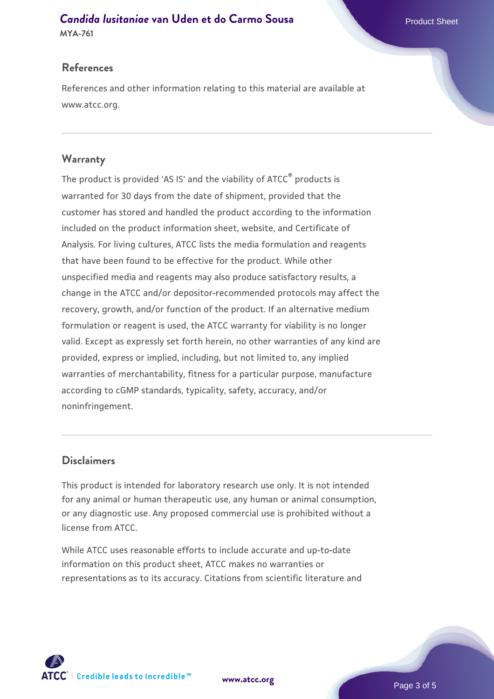## **Candida Iusitaniae [van Uden et do Carmo Sousa](https://www.atcc.org/products/mya-761)** Product Sheet

**MYA-761**

#### **References**

References and other information relating to this material are available at www.atcc.org.

#### **Warranty**

The product is provided 'AS IS' and the viability of ATCC® products is warranted for 30 days from the date of shipment, provided that the customer has stored and handled the product according to the information included on the product information sheet, website, and Certificate of Analysis. For living cultures, ATCC lists the media formulation and reagents that have been found to be effective for the product. While other unspecified media and reagents may also produce satisfactory results, a change in the ATCC and/or depositor-recommended protocols may affect the recovery, growth, and/or function of the product. If an alternative medium formulation or reagent is used, the ATCC warranty for viability is no longer valid. Except as expressly set forth herein, no other warranties of any kind are provided, express or implied, including, but not limited to, any implied warranties of merchantability, fitness for a particular purpose, manufacture according to cGMP standards, typicality, safety, accuracy, and/or noninfringement.

#### **Disclaimers**

This product is intended for laboratory research use only. It is not intended for any animal or human therapeutic use, any human or animal consumption, or any diagnostic use. Any proposed commercial use is prohibited without a license from ATCC.

While ATCC uses reasonable efforts to include accurate and up-to-date information on this product sheet, ATCC makes no warranties or representations as to its accuracy. Citations from scientific literature and

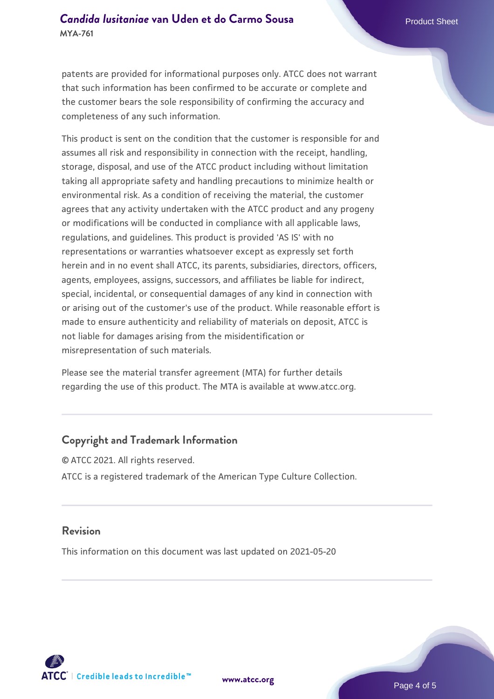#### **Candida Iusitaniae [van Uden et do Carmo Sousa](https://www.atcc.org/products/mya-761)** Product Sheet **MYA-761**

patents are provided for informational purposes only. ATCC does not warrant that such information has been confirmed to be accurate or complete and the customer bears the sole responsibility of confirming the accuracy and completeness of any such information.

This product is sent on the condition that the customer is responsible for and assumes all risk and responsibility in connection with the receipt, handling, storage, disposal, and use of the ATCC product including without limitation taking all appropriate safety and handling precautions to minimize health or environmental risk. As a condition of receiving the material, the customer agrees that any activity undertaken with the ATCC product and any progeny or modifications will be conducted in compliance with all applicable laws, regulations, and guidelines. This product is provided 'AS IS' with no representations or warranties whatsoever except as expressly set forth herein and in no event shall ATCC, its parents, subsidiaries, directors, officers, agents, employees, assigns, successors, and affiliates be liable for indirect, special, incidental, or consequential damages of any kind in connection with or arising out of the customer's use of the product. While reasonable effort is made to ensure authenticity and reliability of materials on deposit, ATCC is not liable for damages arising from the misidentification or misrepresentation of such materials.

Please see the material transfer agreement (MTA) for further details regarding the use of this product. The MTA is available at www.atcc.org.

#### **Copyright and Trademark Information**

© ATCC 2021. All rights reserved. ATCC is a registered trademark of the American Type Culture Collection.

#### **Revision**

This information on this document was last updated on 2021-05-20



**[www.atcc.org](http://www.atcc.org)**